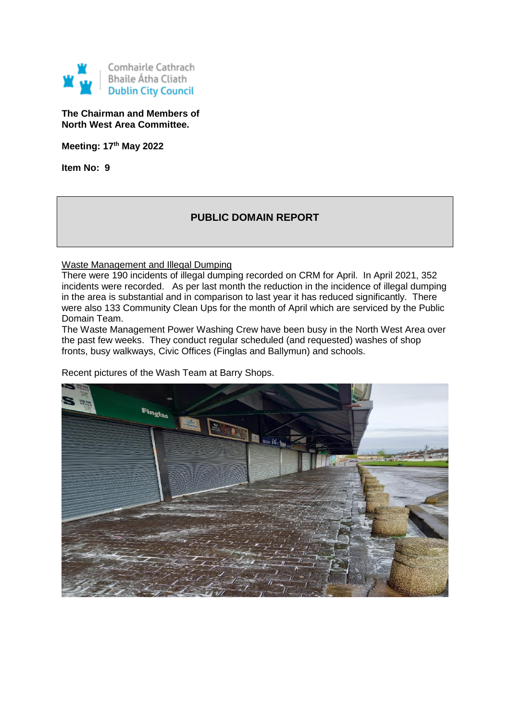

**The Chairman and Members of North West Area Committee.**

**Meeting: 17th May 2022**

**Item No: 9**

# **PUBLIC DOMAIN REPORT**

Waste Management and Illegal Dumping

There were 190 incidents of illegal dumping recorded on CRM for April. In April 2021, 352 incidents were recorded. As per last month the reduction in the incidence of illegal dumping in the area is substantial and in comparison to last year it has reduced significantly. There were also 133 Community Clean Ups for the month of April which are serviced by the Public Domain Team.

The Waste Management Power Washing Crew have been busy in the North West Area over the past few weeks. They conduct regular scheduled (and requested) washes of shop fronts, busy walkways, Civic Offices (Finglas and Ballymun) and schools.

Recent pictures of the Wash Team at Barry Shops.